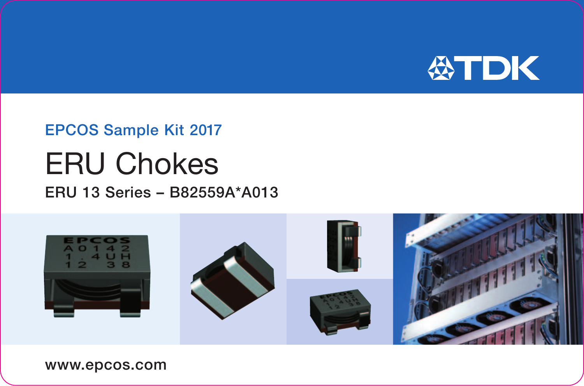

## **EPCOS Sample Kit 2017**

## **ERU Chokes**

## ERU 13 Series - B82559A\*A013



www.epcos.com